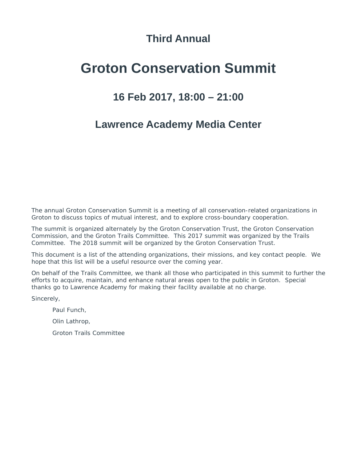### **Third Annual**

### **Groton Conservation Summit**

### **16 Feb 2017, 18:00 – 21:00**

### **Lawrence Academy Media Center**

The annual Groton Conservation Summit is a meeting of all conservation-related organizations in Groton to discuss topics of mutual interest, and to explore cross-boundary cooperation.

The summit is organized alternately by the Groton Conservation Trust, the Groton Conservation Commission, and the Groton Trails Committee. This 2017 summit was organized by the Trails Committee. The 2018 summit will be organized by the Groton Conservation Trust.

This document is a list of the attending organizations, their missions, and key contact people. We hope that this list will be a useful resource over the coming year.

On behalf of the Trails Committee, we thank all those who participated in this summit to further the efforts to acquire, maintain, and enhance natural areas open to the public in Groton. Special thanks go to Lawrence Academy for making their facility available at no charge.

Sincerely,

*Paul Funch, Olin Lathrop, Groton Trails Committee*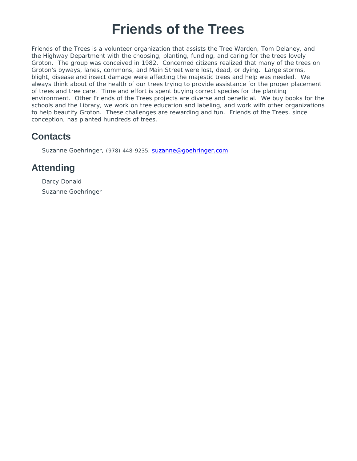# **Friends of the Trees**

Friends of the Trees is a volunteer organization that assists the Tree Warden, Tom Delaney, and the Highway Department with the choosing, planting, funding, and caring for the trees lovely Groton. The group was conceived in 1982. Concerned citizens realized that many of the trees on Groton's byways, lanes, commons, and Main Street were lost, dead, or dying. Large storms, blight, disease and insect damage were affecting the majestic trees and help was needed. We always think about of the health of our trees trying to provide assistance for the proper placement of trees and tree care. Time and effort is spent buying correct species for the planting environment. Other Friends of the Trees projects are diverse and beneficial. We buy books for the schools and the Library, we work on tree education and labeling, and work with other organizations to help beautify Groton. These challenges are rewarding and fun. Friends of the Trees, since conception, has planted hundreds of trees.

### **Contacts**

Suzanne Goehringer, (978) 448-9235, suzanne@goehringer.com

#### **Attending**

Darcy Donald Suzanne Goehringer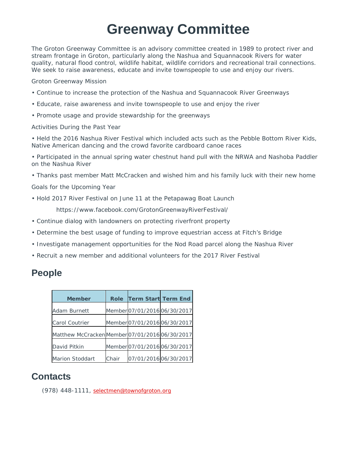# **Greenway Committee**

The Groton Greenway Committee is an advisory committee created in 1989 to protect river and stream frontage in Groton, particularly along the Nashua and Squannacook Rivers for water quality, natural flood control, wildlife habitat, wildlife corridors and recreational trail connections. We seek to raise awareness, educate and invite townspeople to use and enjoy our rivers.

Groton Greenway Mission

- Continue to increase the protection of the Nashua and Squannacook River Greenways
- Educate, raise awareness and invite townspeople to use and enjoy the river
- Promote usage and provide stewardship for the greenways

Activities During the Past Year

• Held the 2016 Nashua River Festival which included acts such as the Pebble Bottom River Kids, Native American dancing and the crowd favorite cardboard canoe races

• Participated in the annual spring water chestnut hand pull with the NRWA and Nashoba Paddler on the Nashua River

• Thanks past member Matt McCracken and wished him and his family luck with their new home

Goals for the Upcoming Year

• Hold 2017 River Festival on June 11 at the Petapawag Boat Launch

https://www.facebook.com/GrotonGreenwayRiverFestival/

- Continue dialog with landowners on protecting riverfront property
- Determine the best usage of funding to improve equestrian access at Fitch's Bridge
- Investigate management opportunities for the Nod Road parcel along the Nashua River
- Recruit a new member and additional volunteers for the 2017 River Festival

#### **People**

| <b>Member</b>                                  | Role  | <b>Term Start Term End</b>   |                              |
|------------------------------------------------|-------|------------------------------|------------------------------|
| Adam Burnett                                   |       | Member 07/01/2016 06/30/2017 |                              |
| <b>Carol Coutrier</b>                          |       |                              | Member 07/01/2016 06/30/2017 |
| Matthew McCracken Member 07/01/2016 06/30/2017 |       |                              |                              |
| David Pitkin                                   |       | Member 07/01/2016 06/30/2017 |                              |
| Marion Stoddart                                | Chair |                              | 07/01/2016 06/30/2017        |

#### **Contacts**

(978) 448-1111, selectmen@townofgroton.org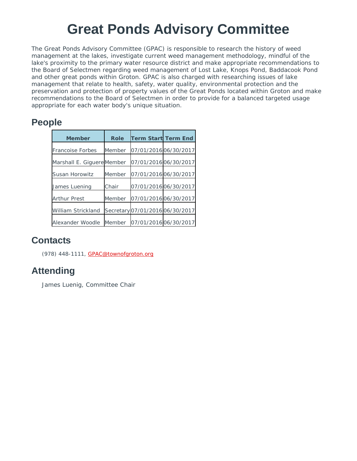# **Great Ponds Advisory Committee**

The Great Ponds Advisory Committee (GPAC) is responsible to research the history of weed management at the lakes, investigate current weed management methodology, mindful of the lake's proximity to the primary water resource district and make appropriate recommendations to the Board of Selectmen regarding weed management of Lost Lake, Knops Pond, Baddacook Pond and other great ponds within Groton. GPAC is also charged with researching issues of lake management that relate to health, safety, water quality, environmental protection and the preservation and protection of property values of the Great Ponds located within Groton and make recommendations to the Board of Selectmen in order to provide for a balanced targeted usage appropriate for each water body's unique situation.

### **People**

| <b>Member</b>             | <b>Role</b> | <b>Term Start Term End</b>      |  |
|---------------------------|-------------|---------------------------------|--|
| <b>Francoise Forbes</b>   | Member      | 07/01/2016 06/30/2017           |  |
| Marshall E. GiguereMember |             | 07/01/2016 06/30/2017           |  |
| Susan Horowitz            | Member      | 07/01/2016 06/30/2017           |  |
| James Luening             | Chair       | 07/01/2016 06/30/2017           |  |
| <b>Arthur Prest</b>       | Member      | 07/01/2016 06/30/2017           |  |
| <b>William Strickland</b> |             | Secretary 07/01/2016 06/30/2017 |  |
| Alexander Woodle          | Member      | 07/01/2016 06/30/2017           |  |

### **Contacts**

(978) 448-1111, GPAC@townofgroton.org

### **Attending**

James Luenig, Committee Chair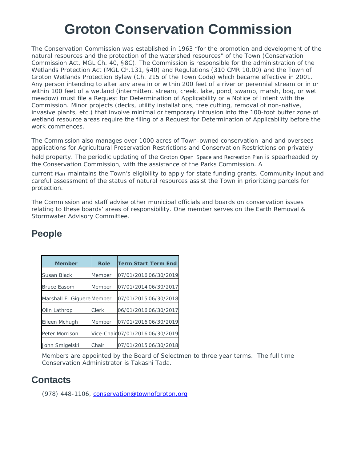# **Groton Conservation Commission**

The Conservation Commission was established in 1963 "for the promotion and development of the natural resources and the protection of the watershed resources" of the Town (Conservation Commission Act, MGL Ch. 40, §8C). The Commission is responsible for the administration of the Wetlands Protection Act (MGL Ch.131, §40) and Regulations (310 CMR 10.00) and the Town of Groton Wetlands Protection Bylaw (Ch. 215 of the Town Code) which became effective in 2001. Any person intending to alter any area in or within 200 feet of a river or perennial stream or in or within 100 feet of a wetland (intermittent stream, creek, lake, pond, swamp, marsh, bog, or wet meadow) must file a Request for Determination of Applicability or a Notice of Intent with the Commission. Minor projects (decks, utility installations, tree cutting, removal of non-native, invasive plants, etc.) that involve minimal or temporary intrusion into the 100-foot buffer zone of wetland resource areas require the filing of a Request for Determination of Applicability before the work commences.

The Commission also manages over 1000 acres of Town-owned conservation land and oversees applications for Agricultural Preservation Restrictions and Conservation Restrictions on privately

held property. The periodic updating of the *Groton Open Space and Recreation Plan* is spearheaded by the Conservation Commission, with the assistance of the Parks Commission. A

current *Plan* maintains the Town's eligibility to apply for state funding grants. Community input and careful assessment of the status of natural resources assist the Town in prioritizing parcels for protection.

The Commission and staff advise other municipal officials and boards on conservation issues relating to these boards' areas of responsibility. One member serves on the Earth Removal & Stormwater Advisory Committee.

| <b>Member</b>              | <b>Role</b> | <b>Term Start Term End</b>     |  |
|----------------------------|-------------|--------------------------------|--|
| Susan Black                | Member      | 07/01/2016 06/30/2019          |  |
| <b>Bruce Easom</b>         | Member      | 07/01/2014 06/30/2017          |  |
| Marshall E. Giguere Member |             | 07/01/2015 06/30/2018          |  |
| Olin Lathrop               | Clerk       | 06/01/2016 06/30/2017          |  |
| Eileen Mchugh              | Member      | 07/01/2016 06/30/2019          |  |
| Peter Morrison             |             | Vice-Chair07/01/201606/30/2019 |  |
| John Smigelski             | Chair       | 07/01/2015 06/30/2018          |  |

### **People**

Members are appointed by the Board of Selectmen to three year terms. The full time Conservation Administrator is Takashi Tada.

#### **Contacts**

(978) 448-1106, conservation@townofgroton.org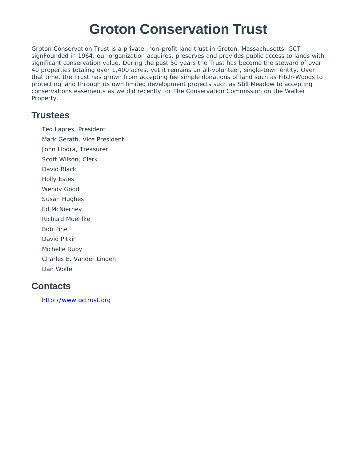# **Groton Conservation Trust**

Groton Conservation Trust is a private, non-profit land trust in Groton, Massachusetts. GCT signFounded in 1964, our organization acquires, preserves and provides public access to lands with significant conservation value. During the past 50 years the Trust has become the steward of over 40 properties totaling over 1,400 acres, yet it remains an all-volunteer, single-town entity. Over that time, the Trust has grown from accepting fee simple donations of land such as Fitch-Woods to protecting land through its own limited development projects such as Still Meadow to accepting conservations easements as we did recently for The Conservation Commission on the Walker Property.

#### **Trustees**

Ted Lapres, President Mark Gerath, Vice President John Llodra, Treasurer Scott Wilson, Clerk David Black Holly Estes Wendy Good Susan Hughes Ed McNierney Richard Muehlke Bob Pine David Pitkin Michelle Ruby Charles E. Vander Linden Dan Wolfe

### **Contacts**

http://www.gctrust.org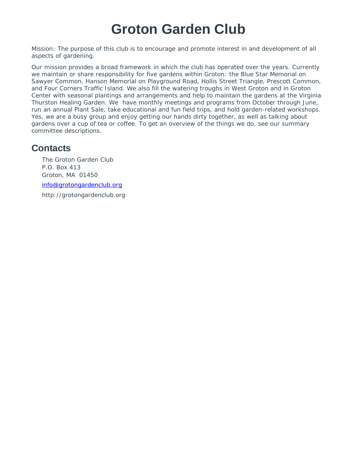# **Groton Garden Club**

Mission: The purpose of this club is to encourage and promote interest in and development of all aspects of gardening.

Our mission provides a broad framework in which the club has operated over the years. Currently we maintain or share responsibility for five gardens within Groton: the Blue Star Memorial on Sawyer Common, Hanson Memorial on Playground Road, Hollis Street Triangle, Prescott Common, and Four Corners Traffic Island. We also fill the watering troughs in West Groton and in Groton Center with seasonal plantings and arrangements and help to maintain the gardens at the Virginia Thurston Healing Garden. We have monthly meetings and programs from October through June, run an annual Plant Sale, take educational and fun field trips, and hold garden-related workshops. Yes, we are a busy group and enjoy getting our hands dirty together, as well as talking about gardens over a cup of tea or coffee. To get an overview of the things we do, see our summary committee descriptions.

#### **Contacts**

The Groton Garden Club P.O. Box 413 Groton, MA 01450 info@grotongardenclub.org http://grotongardenclub.org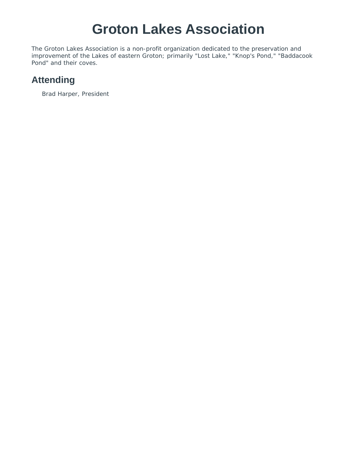# **Groton Lakes Association**

The Groton Lakes Association is a non-profit organization dedicated to the preservation and improvement of the Lakes of eastern Groton; primarily "Lost Lake," "Knop's Pond," "Baddacook Pond" and their coves.

### **Attending**

Brad Harper, President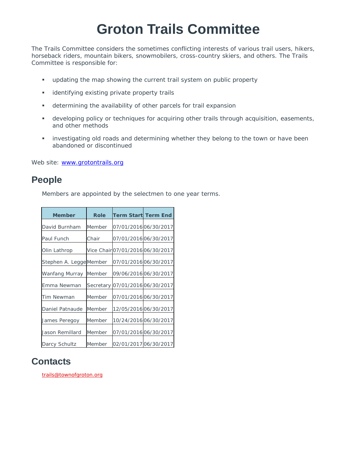# **Groton Trails Committee**

The Trails Committee considers the sometimes conflicting interests of various trail users, hikers, horseback riders, mountain bikers, snowmobilers, cross-country skiers, and others. The Trails Committee is responsible for:

- updating the map showing the current trail system on public property
- **·** identifying existing private property trails
- determining the availability of other parcels for trail expansion
- developing policy or techniques for acquiring other trails through acquisition, easements, and other methods
- investigating old roads and determining whether they belong to the town or have been abandoned or discontinued

Web site: www.grotontrails.org

#### **People**

Members are appointed by the selectmen to one year terms.

| <b>Member</b>           | Role   | <b>Term Start Term End</b>       |                       |
|-------------------------|--------|----------------------------------|-----------------------|
| David Burnham           | Member |                                  | 07/01/2016 06/30/2017 |
| Paul Funch              | Chair  |                                  | 07/01/2016 06/30/2017 |
| Olin Lathrop            |        | Vice Chair 07/01/2016 06/30/2017 |                       |
| Stephen A. Legge Member |        |                                  | 07/01/2016 06/30/2017 |
| Wanfang Murray          | Member | 09/06/2016 06/30/2017            |                       |
| Emma Newman             |        | Secretary 07/01/2016 06/30/2017  |                       |
| Tim Newman              | Member | 07/01/201606/30/2017             |                       |
| Daniel Patnaude         | Member |                                  | 12/05/2016 06/30/2017 |
| James Peregoy           | Member |                                  | 10/24/2016 06/30/2017 |
| Jason Remillard         | Member |                                  | 07/01/201606/30/2017  |
| Darcy Schultz           | Member | 02/01/2017 06/30/2017            |                       |

#### **Contacts**

trails@townofgroton.org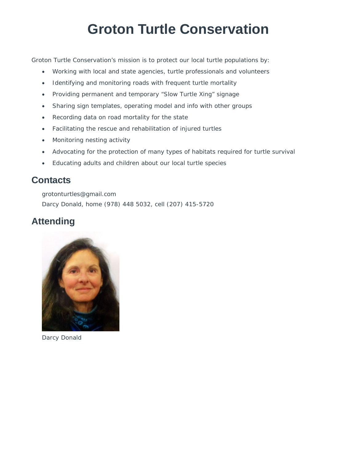# **Groton Turtle Conservation**

Groton Turtle Conservation's mission is to protect our local turtle populations by:

- Working with local and state agencies, turtle professionals and volunteers
- Identifying and monitoring roads with frequent turtle mortality
- Providing permanent and temporary "Slow Turtle Xing" signage
- Sharing sign templates, operating model and info with other groups
- Recording data on road mortality for the state
- Facilitating the rescue and rehabilitation of injured turtles
- Monitoring nesting activity
- Advocating for the protection of many types of habitats required for turtle survival
- Educating adults and children about our local turtle species

#### **Contacts**

grotonturtles@gmail.com Darcy Donald, home (978) 448 5032, cell (207) 415-5720

### **Attending**



Darcy Donald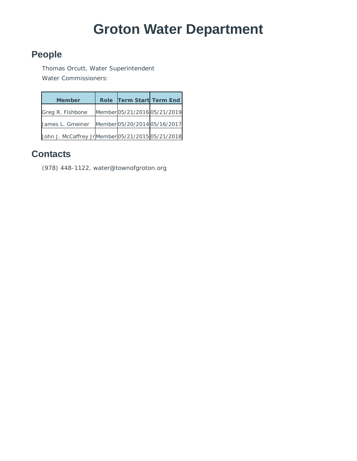# **Groton Water Department**

### **People**

Thomas Orcutt, Water Superintendent Water Commissioners:

| <b>Member</b>                                     | Role Term Start Term End     |  |
|---------------------------------------------------|------------------------------|--|
| Greg R. Fishbone                                  | Member 05/21/2016 05/21/2019 |  |
| James L. Gmeiner                                  | Member 05/20/2014 05/16/2017 |  |
| John J. McCaffrey Jr Member 05/21/2015 05/21/2018 |                              |  |

### **Contacts**

(978) 448-1122, water@townofgroton.org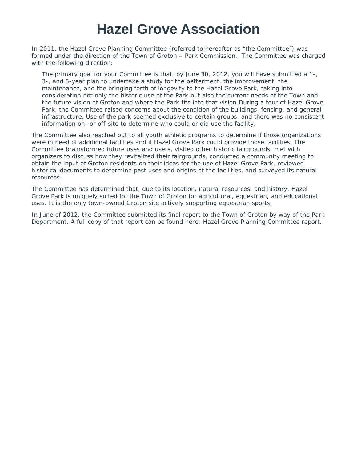# **Hazel Grove Association**

In 2011, the Hazel Grove Planning Committee (referred to hereafter as "the Committee") was formed under the direction of the Town of Groton – Park Commission. The Committee was charged with the following direction:

The primary goal for your Committee is that, by June 30, 2012, you will have submitted a 1-, 3-, and 5-year plan to undertake a study for the betterment, the improvement, the maintenance, and the bringing forth of longevity to the Hazel Grove Park, taking into consideration not only the historic use of the Park but also the current needs of the Town and the future vision of Groton and where the Park fits into that vision.During a tour of Hazel Grove Park, the Committee raised concerns about the condition of the buildings, fencing, and general infrastructure. Use of the park seemed exclusive to certain groups, and there was no consistent information on- or off-site to determine who could or did use the facility.

The Committee also reached out to all youth athletic programs to determine if those organizations were in need of additional facilities and if Hazel Grove Park could provide those facilities. The Committee brainstormed future uses and users, visited other historic fairgrounds, met with organizers to discuss how they revitalized their fairgrounds, conducted a community meeting to obtain the input of Groton residents on their ideas for the use of Hazel Grove Park, reviewed historical documents to determine past uses and origins of the facilities, and surveyed its natural resources.

The Committee has determined that, due to its location, natural resources, and history, Hazel Grove Park is uniquely suited for the Town of Groton for agricultural, equestrian, and educational uses. It is the only town-owned Groton site actively supporting equestrian sports.

In June of 2012, the Committee submitted its final report to the Town of Groton by way of the Park Department. A full copy of that report can be found here: Hazel Grove Planning Committee report.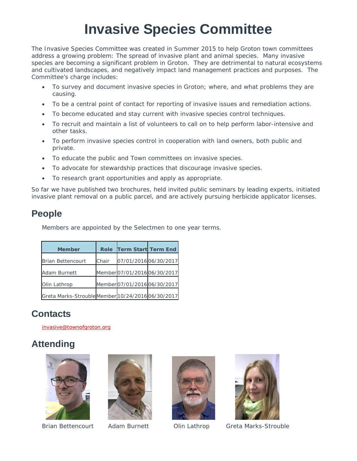# **Invasive Species Committee**

The Invasive Species Committee was created in Summer 2015 to help Groton town committees address a growing problem: The spread of invasive plant and animal species. Many invasive species are becoming a significant problem in Groton. They are detrimental to natural ecosystems and cultivated landscapes, and negatively impact land management practices and purposes. The Committee's charge includes:

- To survey and document invasive species in Groton; where, and what problems they are causing.
- To be a central point of contact for reporting of invasive issues and remediation actions.
- To become educated and stay current with invasive species control techniques.
- To recruit and maintain a list of volunteers to call on to help perform labor-intensive and other tasks.
- To perform invasive species control in cooperation with land owners, both public and private.
- To educate the public and Town committees on invasive species.
- To advocate for stewardship practices that discourage invasive species.
- To research grant opportunities and apply as appropriate.

So far we have published two brochures, held invited public seminars by leading experts, initiated invasive plant removal on a public parcel, and are actively pursuing herbicide applicator licenses.

### **People**

Members are appointed by the Selectmen to one year terms.

| <b>Member</b>                                    | <b>Role</b> | <b>Term Start Term End</b>   |  |
|--------------------------------------------------|-------------|------------------------------|--|
| <b>Brian Bettencourt</b>                         | Chair       | 07/01/2016 06/30/2017        |  |
| Adam Burnett                                     |             | Member 07/01/2016 06/30/2017 |  |
| Olin Lathrop                                     |             | Member 07/01/2016 06/30/2017 |  |
| Greta Marks-StroubleMember 10/24/2016 06/30/2017 |             |                              |  |

### **Contacts**

invasive@townofgroton.org

### **Attending**









Brian Bettencourt Adam Burnett Olin Lathrop Greta Marks-Strouble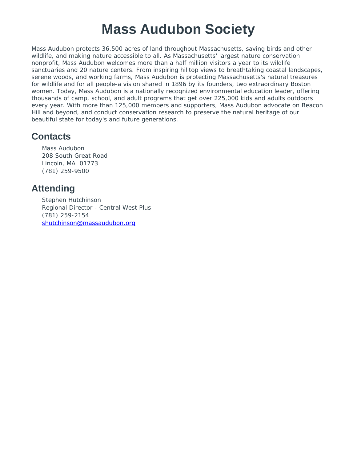# **Mass Audubon Society**

Mass Audubon protects 36,500 acres of land throughout Massachusetts, saving birds and other wildlife, and making nature accessible to all. As Massachusetts' largest nature conservation nonprofit, Mass Audubon welcomes more than a half million visitors a year to its wildlife sanctuaries and 20 nature centers. From inspiring hilltop views to breathtaking coastal landscapes, serene woods, and working farms, Mass Audubon is protecting Massachusetts's natural treasures for wildlife and for all people-a vision shared in 1896 by its founders, two extraordinary Boston women. Today, Mass Audubon is a nationally recognized environmental education leader, offering thousands of camp, school, and adult programs that get over 225,000 kids and adults outdoors every year. With more than 125,000 members and supporters, Mass Audubon advocate on Beacon Hill and beyond, and conduct conservation research to preserve the natural heritage of our beautiful state for today's and future generations.

#### **Contacts**

Mass Audubon 208 South Great Road Lincoln, MA 01773 (781) 259-9500

#### **Attending**

Stephen Hutchinson Regional Director - Central West Plus (781) 259-2154 shutchinson@massaudubon.org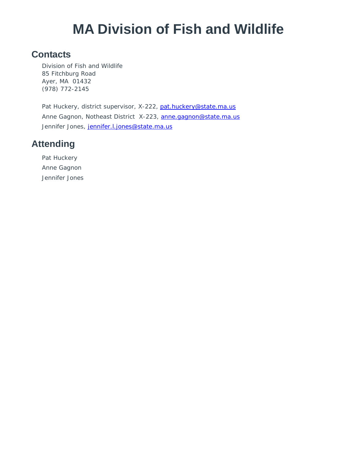# **MA Division of Fish and Wildlife**

#### **Contacts**

Division of Fish and Wildlife 85 Fitchburg Road Ayer, MA 01432 (978) 772-2145

Pat Huckery, district supervisor, X-222, pat.huckery@state.ma.us Anne Gagnon, Notheast District X-223, anne.gagnon@state.ma.us Jennifer Jones, jennifer.l.jones@state.ma.us

### **Attending**

Pat Huckery Anne Gagnon Jennifer Jones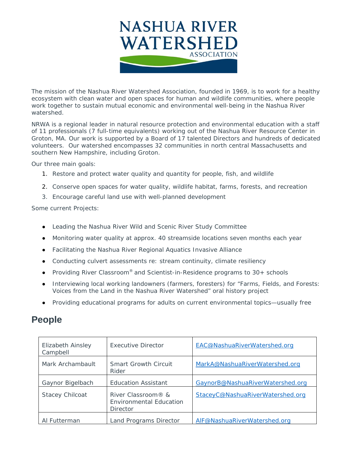

The mission of the Nashua River Watershed Association, founded in 1969, is to work for a healthy ecosystem with clean water and open spaces for human and wildlife communities, where people work together to sustain mutual economic and environmental well-being in the Nashua River watershed.

NRWA is a regional leader in natural resource protection and environmental education with a staff of 11 professionals (7 full-time equivalents) working out of the Nashua River Resource Center in Groton, MA. Our work is supported by a Board of 17 talented Directors and hundreds of dedicated volunteers. Our watershed encompasses 32 communities in north central Massachusetts and southern New Hampshire, including Groton.

Our three main goals:

- 1. Restore and protect water quality and quantity for people, fish, and wildlife
- 2. Conserve open spaces for water quality, wildlife habitat, farms, forests, and recreation
- 3. Encourage careful land use with well-planned development

Some current Projects:

- Leading the Nashua River Wild and Scenic River Study Committee
- Monitoring water quality at approx. 40 streamside locations seven months each year
- Facilitating the Nashua River Regional Aquatics Invasive Alliance
- Conducting culvert assessments re: stream continuity, climate resiliency
- Providing River Classroom<sup>®</sup> and Scientist-in-Residence programs to  $30+$  schools
- Interviewing local working landowners (farmers, foresters) for "Farms, Fields, and Forests: Voices from the Land in the Nashua River Watershed" oral history project
- Providing educational programs for adults on current environmental topics—usually free

#### **People**

| <b>Elizabeth Ainsley</b><br>Campbell | Executive Director                                                      | EAC@NashuaRiverWatershed.org     |
|--------------------------------------|-------------------------------------------------------------------------|----------------------------------|
| Mark Archambault                     | <b>Smart Growth Circuit</b><br>Rider                                    | MarkA@NashuaRiverWatershed.org   |
| Gaynor Bigelbach                     | <b>Education Assistant</b>                                              | GaynorB@NashuaRiverWatershed.org |
| <b>Stacey Chilcoat</b>               | River Classroom® &<br><b>Environmental Education</b><br><b>Director</b> | StaceyC@NashuaRiverWatershed.org |
| Al Futterman                         | Land Programs Director                                                  | AIF@NashuaRiverWatershed.org     |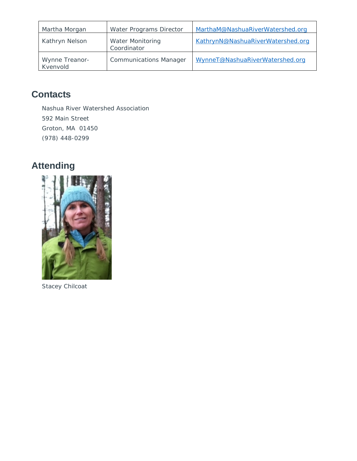| Martha Morgan              | Water Programs Director                | MarthaM@NashuaRiverWatershed.org  |
|----------------------------|----------------------------------------|-----------------------------------|
| Kathryn Nelson             | <b>Water Monitoring</b><br>Coordinator | KathrynN@NashuaRiverWatershed.org |
| Wynne Treanor-<br>Kvenvold | <b>Communications Manager</b>          | WynneT@NashuaRiverWatershed.org   |

### **Contacts**

Nashua River Watershed Association 592 Main Street Groton, MA 01450 (978) 448-0299

### **Attending**



Stacey Chilcoat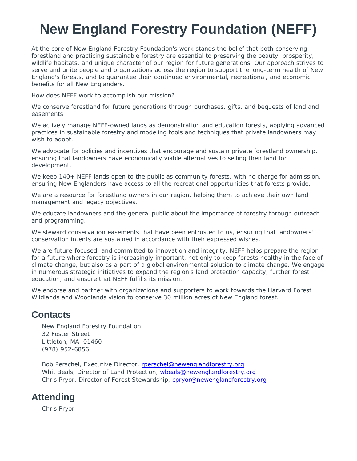# **New England Forestry Foundation (NEFF)**

At the core of New England Forestry Foundation's work stands the belief that both conserving forestland and practicing sustainable forestry are essential to preserving the beauty, prosperity, wildlife habitats, and unique character of our region for future generations. Our approach strives to serve and unite people and organizations across the region to support the long-term health of New England's forests, and to guarantee their continued environmental, recreational, and economic benefits for all New Englanders.

How does NEFF work to accomplish our mission?

We conserve forestland for future generations through purchases, gifts, and bequests of land and easements.

We actively manage NEFF-owned lands as demonstration and education forests, applying advanced practices in sustainable forestry and modeling tools and techniques that private landowners may wish to adopt.

We advocate for policies and incentives that encourage and sustain private forestland ownership, ensuring that landowners have economically viable alternatives to selling their land for development.

We keep 140+ NEFF lands open to the public as community forests, with no charge for admission, ensuring New Englanders have access to all the recreational opportunities that forests provide.

We are a resource for forestland owners in our region, helping them to achieve their own land management and legacy objectives.

We educate landowners and the general public about the importance of forestry through outreach and programming.

We steward conservation easements that have been entrusted to us, ensuring that landowners' conservation intents are sustained in accordance with their expressed wishes.

We are future-focused, and committed to innovation and integrity. NEFF helps prepare the region for a future where forestry is increasingly important, not only to keep forests healthy in the face of climate change, but also as a part of a global environmental solution to climate change. We engage in numerous strategic initiatives to expand the region's land protection capacity, further forest education, and ensure that NEFF fulfills its mission.

We endorse and partner with organizations and supporters to work towards the Harvard Forest Wildlands and Woodlands vision to conserve 30 million acres of New England forest.

#### **Contacts**

New England Forestry Foundation 32 Foster Street Littleton, MA 01460 (978) 952-6856

Bob Perschel, Executive Director, rperschel@newenglandforestry.org Whit Beals, Director of Land Protection, wbeals@newenglandforestry.org Chris Pryor, Director of Forest Stewardship, cpryor@newenglandforestry.org

#### **Attending**

Chris Pryor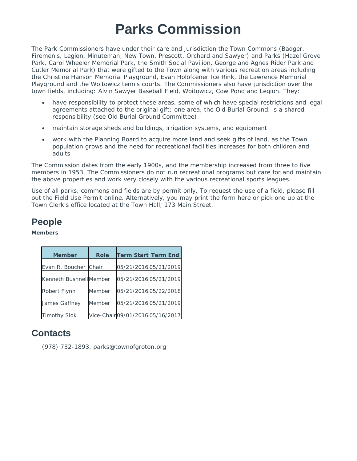# **Parks Commission**

The Park Commissioners have under their care and jurisdiction the Town Commons (Badger, Firemen's, Legion, Minuteman, New Town, Prescott, Orchard and Sawyer) and Parks (Hazel Grove Park, Carol Wheeler Memorial Park, the Smith Social Pavilion, George and Agnes Rider Park and Cutler Memorial Park) that were gifted to the Town along with various recreation areas including the Christine Hanson Memorial Playground, Evan Holofcener Ice Rink, the Lawrence Memorial Playground and the Woitowicz tennis courts. The Commissioners also have jurisdiction over the town fields, including: Alvin Sawyer Baseball Field, Woitowicz, Cow Pond and Legion. They:

- have responsibility to protect these areas, some of which have special restrictions and legal agreements attached to the original gift; one area, the Old Burial Ground, is a shared responsibility (see Old Burial Ground Committee)
- maintain storage sheds and buildings, irrigation systems, and equipment
- work with the Planning Board to acquire more land and seek gifts of land, as the Town population grows and the need for recreational facilities increases for both children and adults

The Commission dates from the early 1900s, and the membership increased from three to five members in 1953. The Commissioners do not run recreational programs but care for and maintain the above properties and work very closely with the various recreational sports leagues.

Use of all parks, commons and fields are by permit only. To request the use of a field, please fill out the Field Use Permit online. Alternatively, you may print the form here or pick one up at the Town Clerk's office located at the Town Hall, 173 Main Street.

### **People**

#### **Members**

| <b>Member</b>           | <b>Role</b> | <b>Term Start Term End</b>       |  |
|-------------------------|-------------|----------------------------------|--|
| Evan R. Boucher Chair   |             | 05/21/2016 05/21/2019            |  |
| Kenneth Bushnell Member |             | 05/21/2016 05/21/2019            |  |
| Robert Flynn            | Member      | 05/21/2016 05/22/2018            |  |
| James Gaffney           | Member      | 05/21/2016 05/21/2019            |  |
| <b>Timothy Siok</b>     |             | Vice-Chair 09/01/2016 05/16/2017 |  |

#### **Contacts**

(978) 732-1893, parks@townofgroton.org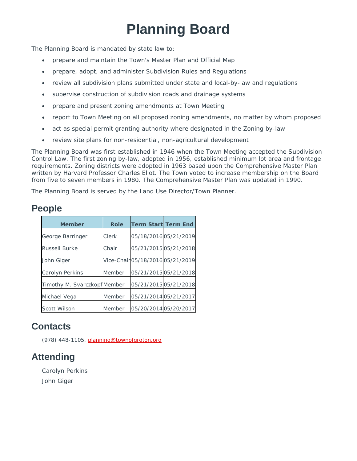# **Planning Board**

The Planning Board is mandated by state law to:

- prepare and maintain the Town's Master Plan and Official Map
- prepare, adopt, and administer Subdivision Rules and Regulations
- review all subdivision plans submitted under state and local-by-law and regulations
- supervise construction of subdivision roads and drainage systems
- prepare and present zoning amendments at Town Meeting
- report to Town Meeting on all proposed zoning amendments, no matter by whom proposed
- act as special permit granting authority where designated in the Zoning by-law
- review site plans for non-residential, non-agricultural development

The Planning Board was first established in 1946 when the Town Meeting accepted the Subdivision Control Law. The first zoning by-law, adopted in 1956, established minimum lot area and frontage requirements. Zoning districts were adopted in 1963 based upon the Comprehensive Master Plan written by Harvard Professor Charles Eliot. The Town voted to increase membership on the Board from five to seven members in 1980. The Comprehensive Master Plan was updated in 1990.

The Planning Board is served by the Land Use Director/Town Planner.

#### **People**

| <b>Member</b>               | <b>Role</b> | <b>Term Start Term End</b> |                                |
|-----------------------------|-------------|----------------------------|--------------------------------|
| George Barringer            | Clerk       |                            | 05/18/2016 05/21/2019          |
| <b>Russell Burke</b>        | Chair       |                            | 05/21/2015 05/21/2018          |
| John Giger                  |             |                            | Vice-Chair05/18/201605/21/2019 |
| <b>Carolyn Perkins</b>      | Member      |                            | 05/21/2015 05/21/2018          |
| Timothy M. SvarczkopfMember |             |                            | 05/21/2015 05/21/2018          |
| Michael Vega                | Member      | 05/21/2014 05/21/2017      |                                |
| Scott Wilson                | Member      |                            | 05/20/2014 05/20/2017          |

#### **Contacts**

(978) 448-1105, planning@townofgroton.org

#### **Attending**

Carolyn Perkins John Giger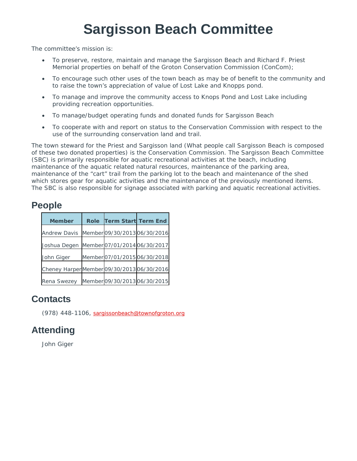# **Sargisson Beach Committee**

The committee's mission is:

- To preserve, restore, maintain and manage the Sargisson Beach and Richard F. Priest Memorial properties on behalf of the Groton Conservation Commission (ConCom);
- To encourage such other uses of the town beach as may be of benefit to the community and to raise the town's appreciation of value of Lost Lake and Knopps pond.
- To manage and improve the community access to Knops Pond and Lost Lake including providing recreation opportunities.
- To manage/budget operating funds and donated funds for Sargisson Beach
- To cooperate with and report on status to the Conservation Commission with respect to the use of the surrounding conservation land and trail.

The town steward for the Priest and Sargisson land (What people call Sargisson Beach is composed of these two donated properties) is the Conservation Commission. The Sargisson Beach Committee (SBC) is primarily responsible for aquatic recreational activities at the beach, including maintenance of the aquatic related natural resources, maintenance of the parking area, maintenance of the "cart" trail from the parking lot to the beach and maintenance of the shed which stores gear for aquatic activities and the maintenance of the previously mentioned items. The SBC is also responsible for signage associated with parking and aquatic recreational activities.

#### **People**

| <b>Member</b>                              | <b>Role</b> | <b>Term Start Term End</b> |                              |
|--------------------------------------------|-------------|----------------------------|------------------------------|
| Andrew Davis Member 09/30/2013 06/30/2016  |             |                            |                              |
| Joshua Degen Member 07/01/2014 06/30/2017  |             |                            |                              |
| John Giger                                 |             |                            | Member 07/01/2015 06/30/2018 |
| Cheney Harper Member 09/30/2013 06/30/2016 |             |                            |                              |
| Rena Swezey                                |             |                            | Member 09/30/2013 06/30/2015 |

#### **Contacts**

(978) 448-1106, sargissonbeach@townofgroton.org

### **Attending**

John Giger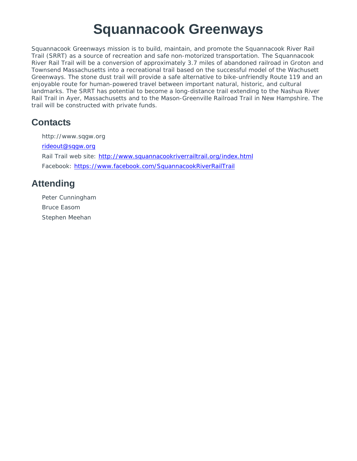### **Squannacook Greenways**

Squannacook Greenways mission is to build, maintain, and promote the Squannacook River Rail Trail (SRRT) as a source of recreation and safe non-motorized transportation. The Squannacook River Rail Trail will be a conversion of approximately 3.7 miles of abandoned railroad in Groton and Townsend Massachusetts into a recreational trail based on the successful model of the Wachusett Greenways. The stone dust trail will provide a safe alternative to bike-unfriendly Route 119 and an enjoyable route for human-powered travel between important natural, historic, and cultural landmarks. The SRRT has potential to become a long-distance trail extending to the Nashua River Rail Trail in Ayer, Massachusetts and to the Mason-Greenville Railroad Trail in New Hampshire. The trail will be constructed with private funds.

#### **Contacts**

http://www.sqgw.org rideout@sqgw.org Rail Trail web site: http://www.squannacookriverrailtrail.org/index.html Facebook: https://www.facebook.com/SquannacookRiverRailTrail

### **Attending**

Peter Cunningham Bruce Easom Stephen Meehan